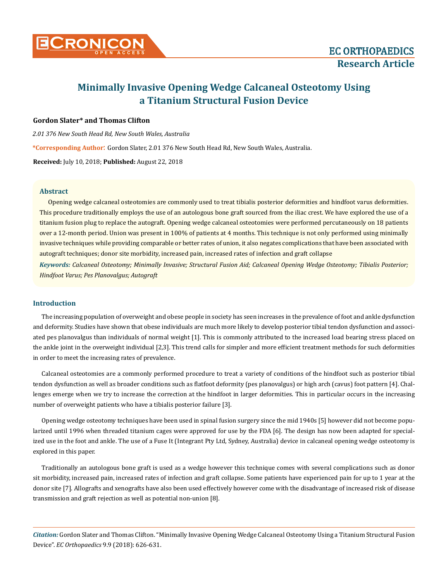

# **Minimally Invasive Opening Wedge Calcaneal Osteotomy Using a Titanium Structural Fusion Device**

## **Gordon Slater\* and Thomas Clifton**

*2.01 376 New South Head Rd, New South Wales, Australia*

**\*Corresponding Author**: Gordon Slater, 2.01 376 New South Head Rd, New South Wales, Australia.

**Received:** July 10, 2018; **Published:** August 22, 2018

## **Abstract**

Opening wedge calcaneal osteotomies are commonly used to treat tibialis posterior deformities and hindfoot varus deformities. This procedure traditionally employs the use of an autologous bone graft sourced from the iliac crest. We have explored the use of a titanium fusion plug to replace the autograft. Opening wedge calcaneal osteotomies were performed percutaneously on 18 patients over a 12-month period. Union was present in 100% of patients at 4 months. This technique is not only performed using minimally invasive techniques while providing comparable or better rates of union, it also negates complications that have been associated with autograft techniques; donor site morbidity, increased pain, increased rates of infection and graft collapse

*Keywords: Calcaneal Osteotomy; Minimally Invasive; Structural Fusion Aid; Calcaneal Opening Wedge Osteotomy; Tibialis Posterior; Hindfoot Varus; Pes Planovalgus; Autograft*

#### **Introduction**

The increasing population of overweight and obese people in society has seen increases in the prevalence of foot and ankle dysfunction and deformity. Studies have shown that obese individuals are much more likely to develop posterior tibial tendon dysfunction and associated pes planovalgus than individuals of normal weight [1]. This is commonly attributed to the increased load bearing stress placed on the ankle joint in the overweight individual [2,3]. This trend calls for simpler and more efficient treatment methods for such deformities in order to meet the increasing rates of prevalence.

Calcaneal osteotomies are a commonly performed procedure to treat a variety of conditions of the hindfoot such as posterior tibial tendon dysfunction as well as broader conditions such as flatfoot deformity (pes planovalgus) or high arch (cavus) foot pattern [4]. Challenges emerge when we try to increase the correction at the hindfoot in larger deformities. This in particular occurs in the increasing number of overweight patients who have a tibialis posterior failure [3].

Opening wedge osteotomy techniques have been used in spinal fusion surgery since the mid 1940s [5] however did not become popularized until 1996 when threaded titanium cages were approved for use by the FDA [6]. The design has now been adapted for specialized use in the foot and ankle. The use of a Fuse It (Integrant Pty Ltd, Sydney, Australia) device in calcaneal opening wedge osteotomy is explored in this paper.

Traditionally an autologous bone graft is used as a wedge however this technique comes with several complications such as donor sit morbidity, increased pain, increased rates of infection and graft collapse. Some patients have experienced pain for up to 1 year at the donor site [7]. Allografts and xenografts have also been used effectively however come with the disadvantage of increased risk of disease transmission and graft rejection as well as potential non-union [8].

*Citation:* Gordon Slater and Thomas Clifton. "Minimally Invasive Opening Wedge Calcaneal Osteotomy Using a Titanium Structural Fusion Device". *EC Orthopaedics* 9.9 (2018): 626-631.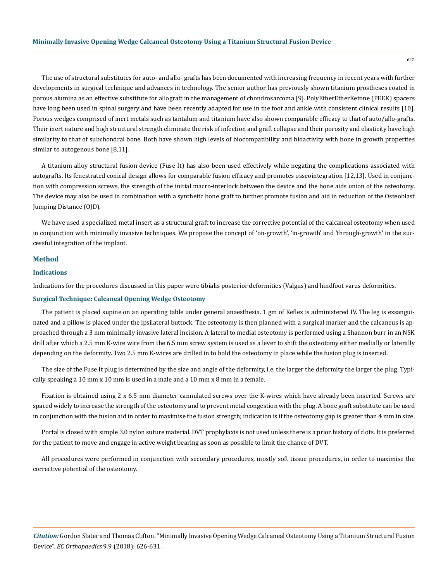The use of structural substitutes for auto- and allo- grafts has been documented with increasing frequency in recent years with further developments in surgical technique and advances in technology. The senior author has previously shown titanium prostheses coated in porous alumina as an effective substitute for allograft in the management of chondrosarcoma [9]. PolyEtherEtherKetone (PEEK) spacers have long been used in spinal surgery and have been recently adapted for use in the foot and ankle with consistent clinical results [10]. Porous wedges comprised of inert metals such as tantalum and titanium have also shown comparable efficacy to that of auto/allo-grafts. Their inert nature and high structural strength eliminate the risk of infection and graft collapse and their porosity and elasticity have high similarity to that of subchondral bone. Both have shown high levels of biocompatibility and bioactivity with bone in growth properties similar to autogenous bone [8,11].

A titanium alloy structural fusion device (Fuse It) has also been used effectively while negating the complications associated with autografts. Its fenestrated conical design allows for comparable fusion efficacy and promotes osseointegration [12,13]. Used in conjunction with compression screws, the strength of the initial macro-interlock between the device and the bone aids union of the osteotomy. The device may also be used in combination with a synthetic bone graft to further promote fusion and aid in reduction of the Osteoblast Jumping Distance (OJD).

We have used a specialized metal insert as a structural graft to increase the corrective potential of the calcaneal osteotomy when used in conjunction with minimally invasive techniques. We propose the concept of 'on-growth', 'in-growth' and 'through-growth' in the successful integration of the implant.

## **Method**

#### **Indications**

Indications for the procedures discussed in this paper were tibialis posterior deformities (Valgus) and hindfoot varus deformities.

### **Surgical Technique: Calcaneal Opening Wedge Osteotomy**

The patient is placed supine on an operating table under general anaesthesia. 1 gm of Keflex is administered IV. The leg is exsanguinated and a pillow is placed under the ipsilateral buttock. The osteotomy is then planned with a surgical marker and the calcaneus is approached through a 3 mm minimally invasive lateral incision. A lateral to medial osteotomy is performed using a Shannon burr in an NSK drill after which a 2.5 mm K-wire wire from the 6.5 mm screw system is used as a lever to shift the osteotomy either medially or laterally depending on the deformity. Two 2.5 mm K-wires are drilled in to hold the osteotomy in place while the fusion plug is inserted.

The size of the Fuse It plug is determined by the size and angle of the deformity, i.e. the larger the deformity the larger the plug. Typically speaking a 10 mm x 10 mm is used in a male and a 10 mm x 8 mm in a female.

Fixation is obtained using 2 x 6.5 mm diameter cannulated screws over the K-wires which have already been inserted. Screws are spaced widely to increase the strength of the osteotomy and to prevent metal congestion with the plug. A bone graft substitute can be used in conjunction with the fusion aid in order to maximise the fusion strength; indication is if the osteotomy gap is greater than 4 mm in size.

Portal is closed with simple 3.0 nylon suture material. DVT prophylaxis is not used unless there is a prior history of clots. It is preferred for the patient to move and engage in active weight bearing as soon as possible to limit the chance of DVT.

All procedures were performed in conjunction with secondary procedures, mostly soft tissue procedures, in order to maximise the corrective potential of the osteotomy.

*Citation:* Gordon Slater and Thomas Clifton. "Minimally Invasive Opening Wedge Calcaneal Osteotomy Using a Titanium Structural Fusion Device". *EC Orthopaedics* 9.9 (2018): 626-631.

627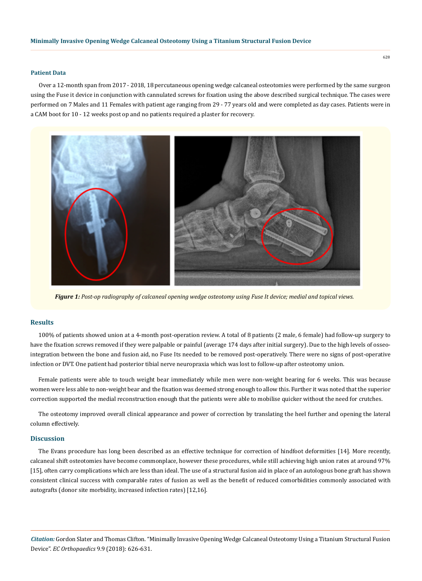## **Patient Data**

Over a 12-month span from 2017 - 2018, 18 percutaneous opening wedge calcaneal osteotomies were performed by the same surgeon using the Fuse it device in conjunction with cannulated screws for fixation using the above described surgical technique. The cases were performed on 7 Males and 11 Females with patient age ranging from 29 - 77 years old and were completed as day cases. Patients were in a CAM boot for 10 - 12 weeks post op and no patients required a plaster for recovery.



*Figure 1: Post-op radiography of calcaneal opening wedge osteotomy using Fuse It device; medial and topical views.*

#### **Results**

100% of patients showed union at a 4-month post-operation review. A total of 8 patients (2 male, 6 female) had follow-up surgery to have the fixation screws removed if they were palpable or painful (average 174 days after initial surgery). Due to the high levels of osseointegration between the bone and fusion aid, no Fuse Its needed to be removed post-operatively. There were no signs of post-operative infection or DVT. One patient had posterior tibial nerve neuropraxia which was lost to follow-up after osteotomy union.

Female patients were able to touch weight bear immediately while men were non-weight bearing for 6 weeks. This was because women were less able to non-weight bear and the fixation was deemed strong enough to allow this. Further it was noted that the superior correction supported the medial reconstruction enough that the patients were able to mobilise quicker without the need for crutches.

The osteotomy improved overall clinical appearance and power of correction by translating the heel further and opening the lateral column effectively.

### **Discussion**

The Evans procedure has long been described as an effective technique for correction of hindfoot deformities [14]. More recently, calcaneal shift osteotomies have become commonplace, however these procedures, while still achieving high union rates at around 97% [15], often carry complications which are less than ideal. The use of a structural fusion aid in place of an autologous bone graft has shown consistent clinical success with comparable rates of fusion as well as the benefit of reduced comorbidities commonly associated with autografts (donor site morbidity, increased infection rates) [12,16].

*Citation:* Gordon Slater and Thomas Clifton. "Minimally Invasive Opening Wedge Calcaneal Osteotomy Using a Titanium Structural Fusion Device". *EC Orthopaedics* 9.9 (2018): 626-631.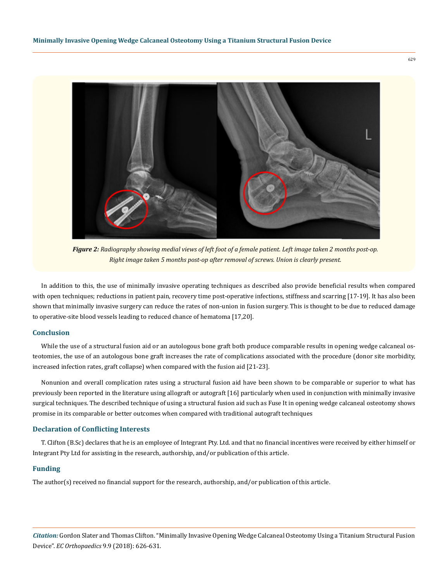

*Figure 2: Radiography showing medial views of left foot of a female patient. Left image taken 2 months post-op. Right image taken 5 months post-op after removal of screws. Union is clearly present.*

In addition to this, the use of minimally invasive operating techniques as described also provide beneficial results when compared with open techniques; reductions in patient pain, recovery time post-operative infections, stiffness and scarring [17-19]. It has also been shown that minimally invasive surgery can reduce the rates of non-union in fusion surgery. This is thought to be due to reduced damage to operative-site blood vessels leading to reduced chance of hematoma [17,20].

## **Conclusion**

While the use of a structural fusion aid or an autologous bone graft both produce comparable results in opening wedge calcaneal osteotomies, the use of an autologous bone graft increases the rate of complications associated with the procedure (donor site morbidity, increased infection rates, graft collapse) when compared with the fusion aid [21-23].

Nonunion and overall complication rates using a structural fusion aid have been shown to be comparable or superior to what has previously been reported in the literature using allograft or autograft [16] particularly when used in conjunction with minimally invasive surgical techniques. The described technique of using a structural fusion aid such as Fuse It in opening wedge calcaneal osteotomy shows promise in its comparable or better outcomes when compared with traditional autograft techniques

## **Declaration of Conflicting Interests**

T. Clifton (B.Sc) declares that he is an employee of Integrant Pty. Ltd. and that no financial incentives were received by either himself or Integrant Pty Ltd for assisting in the research, authorship, and/or publication of this article.

## **Funding**

The author(s) received no financial support for the research, authorship, and/or publication of this article.

*Citation:* Gordon Slater and Thomas Clifton. "Minimally Invasive Opening Wedge Calcaneal Osteotomy Using a Titanium Structural Fusion Device". *EC Orthopaedics* 9.9 (2018): 626-631.

629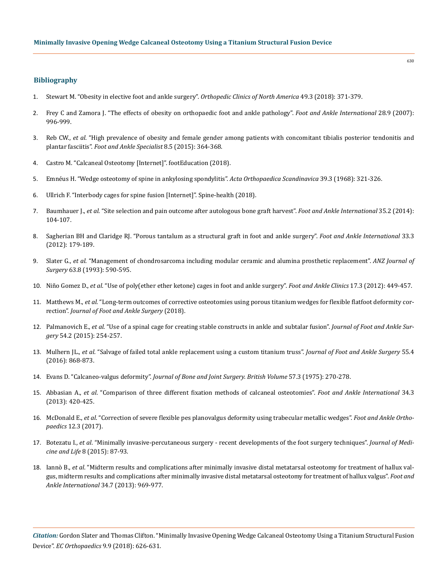### **Bibliography**

- 1. [Stewart M. "Obesity in elective foot and ankle surgery".](https://www.ncbi.nlm.nih.gov/pubmed/29929719) *Orthopedic Clinics of North America* 49.3 (2018): 371-379.
- 2. [Frey C and Zamora J. "The effects of obesity on orthopaedic foot and ankle pathology".](https://www.ncbi.nlm.nih.gov/pubmed/17880874) *Foot and Ankle International* 28.9 (2007): [996-999.](https://www.ncbi.nlm.nih.gov/pubmed/17880874)
- 3. Reb CW., *et al*[. "High prevalence of obesity and female gender among patients with concomitant tibialis posterior tendonitis and](https://www.ncbi.nlm.nih.gov/pubmed/25910944) plantar fasciitis". *[Foot and Ankle Specialist](https://www.ncbi.nlm.nih.gov/pubmed/25910944)* 8.5 (2015): 364-368.
- 4. [Castro M. "Calcaneal Osteotomy \[Internet\]". footEducation \(2018\).](http://www.footeducation.com/page/calcaneal-osteotomy)
- 5. [Emnéus H. "Wedge osteotomy of spine in ankylosing spondylitis".](https://www.ncbi.nlm.nih.gov/pubmed/5730308) *Acta Orthopaedica Scandinavica* 39.3 (1968): 321-326.
- 6. [Ullrich F. "Interbody cages for spine fusion \[Internet\]". Spine-health \(2018\).](https://www.spine-health.com/treatment/spinal-fusion/interbody-cages-spine-fusion)
- 7. Baumhauer J., *et al*[. "Site selection and pain outcome after autologous bone graft harvest".](https://www.ncbi.nlm.nih.gov/pubmed/24227683) *Foot and Ankle International* 35.2 (2014): [104-107.](https://www.ncbi.nlm.nih.gov/pubmed/24227683)
- 8. [Sagherian BH and Claridge RJ. "Porous tantalum as a structural graft in foot and ankle surgery".](https://www.ncbi.nlm.nih.gov/pubmed/22734278) *Foot and Ankle International* 33.3 [\(2012\): 179-189.](https://www.ncbi.nlm.nih.gov/pubmed/22734278)
- 9. Slater G., *et al*[. "Management of chondrosarcoma including modular ceramic and alumina prosthetic replacement".](https://www.ncbi.nlm.nih.gov/pubmed/8338476) *ANZ Journal of Surgery* [63.8 \(1993\): 590-595.](https://www.ncbi.nlm.nih.gov/pubmed/8338476)
- 10. Niño Gomez D., *et al*[. "Use of poly\(ether ether ketone\) cages in foot and ankle surgery".](https://www.ncbi.nlm.nih.gov/pubmed/22938643) *Foot and Ankle Clinics* 17.3 (2012): 449-457.
- 11. Matthews M., *et al*[. "Long-term outcomes of corrective osteotomies using porous titanium wedges for flexible flatfoot deformity cor](https://www.ncbi.nlm.nih.gov/pubmed/29891128)rection". *[Journal of Foot and Ankle Surgery](https://www.ncbi.nlm.nih.gov/pubmed/29891128)* (2018).
- 12. Palmanovich E., *et al*[. "Use of a spinal cage for creating stable constructs in ankle and subtalar fusion".](https://www.ncbi.nlm.nih.gov/pubmed/25631194) *Journal of Foot and Ankle Surgery* [54.2 \(2015\): 254-257.](https://www.ncbi.nlm.nih.gov/pubmed/25631194)
- 13. Mulhern JL., *et al*[. "Salvage of failed total ankle replacement using a custom titanium truss".](https://www.ncbi.nlm.nih.gov/pubmed/26884264) *Journal of Foot and Ankle Surgery* 55.4 [\(2016\): 868-873.](https://www.ncbi.nlm.nih.gov/pubmed/26884264)
- 14. Evans D. "Calcaneo-valgus deformity". *[Journal of Bone and Joint Surgery. British Volume](https://www.ncbi.nlm.nih.gov/pubmed/1171869)* 57.3 (1975): 270-278.
- 15. Abbasian A., *et al*[. "Comparison of three different fixation methods of calcaneal osteotomies".](https://www.ncbi.nlm.nih.gov/pubmed/23391624) *Foot and Ankle International* 34.3 [\(2013\): 420-425.](https://www.ncbi.nlm.nih.gov/pubmed/23391624)
- 16. McDonald E., *et al*[. "Correction of severe flexible pes planovalgus deformity using trabecular metallic wedges".](http://journals.sagepub.com/doi/abs/10.1177/2473011417S000287) *Foot and Ankle Orthopaedics* [12.3 \(2017\).](http://journals.sagepub.com/doi/abs/10.1177/2473011417S000287)
- 17. Botezatu I., *et al*[. "Minimally invasive-percutaneous surgery recent developments of the foot surgery techniques".](https://www.ncbi.nlm.nih.gov/pmc/articles/PMC4564048/) *Journal of Medicine and Life* [8 \(2015\): 87-93.](https://www.ncbi.nlm.nih.gov/pmc/articles/PMC4564048/)
- 18. Iannò B., *et al*[. "Midterm results and complications after minimally invasive distal metatarsal osteotomy for treatment of hallux val](https://www.ncbi.nlm.nih.gov/pubmed/23463780)[gus, midterm results and complications after minimally invasive distal metatarsal osteotomy for treatment of hallux valgus".](https://www.ncbi.nlm.nih.gov/pubmed/23463780) *Foot and Ankle International* [34.7 \(2013\): 969-977.](https://www.ncbi.nlm.nih.gov/pubmed/23463780)

630